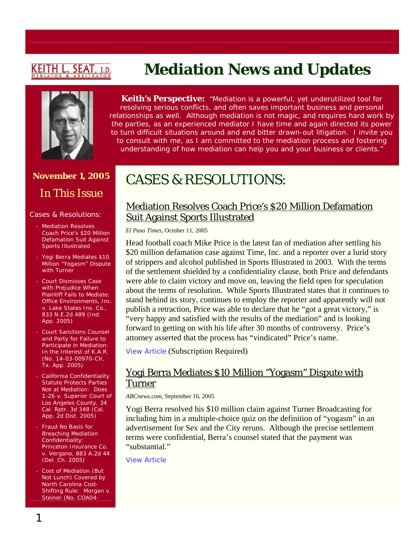# <u>KEITH L. SEAT,</u>

## **November 1, 2005**  In This Issue

#### Cases & Resolutions:

- Mediation Resolves Coach Price's \$20 Million Defamation Suit Against Sports Illustrated
- Yogi Berra Mediates \$10 Million "Yogasm" Dispute with Turner
- Court Dismisses Case with Prejudice When Plaintiff Fails to Mediate: *Office Environments, Inc. v. Lake States Ins. Co.*, 833 N.E.2d 489 (Ind. App. 2005)
- Court Sanctions Counsel and Party for Failure to Participate in Mediation: *In the Interest of K.A.R.* (No. 14-03-00970-CV, Tx. App. 2005)
- California Confidentiality Statute Protects Parties Not at Mediation: *Does 1-26 v. Superior Court of Los Angeles County*, 34 Cal. Rptr. 3d 348 (Cal. App. 2d Dist. 2005)
- Fraud No Basis for Breaching Mediation Confidentiality: *Princeton Insurance Co. v. Vergano*, 883 A.2d 44 (Del. Ch. 2005)
- Cost of Mediation (But Not Lunch) Covered by North Carolina Cost-Shifting Rule: *Morgan v. Steiner* (No. COA04-

# **Mediation News and Updates**

**Keith's Perspective:** *"Mediation is a powerful, yet underutilized tool for resolving serious conflicts, and often saves important business and personal relationships as well. Although mediation is not magic, and requires hard work by the parties, as an experienced mediator I have time and again directed its power to turn difficult situations around and end bitter drawn-out litigation. I invite you to consult with me, as I am committed to the mediation process and fostering understanding of how mediation can help you and your business or clients."*

# CASES & RESOLUTIONS:

#### Mediation Resolves Coach Price's \$20 Million Defamation Suit Against Sports Illustrated

*El Paso Times*, October 11, 2005

Head football coach Mike Price is the latest fan of mediation after settling his \$20 million defamation case against Time, Inc. and a reporter over a lurid story of strippers and alcohol published in Sports Illustrated in 2003. With the terms of the settlement shielded by a confidentiality clause, both Price and defendants were able to claim victory and move on, leaving the field open for speculation about the terms of resolution. While Sports Illustrated states that it continues to stand behind its story, continues to employ the reporter and apparently will not publish a retraction, Price was able to declare that he "got a great victory," is "very happy and satisfied with the results of the mediation" and is looking forward to getting on with his life after 30 months of controversy. Price's attorney asserted that the process has "vindicated" Price's name.

[View Article](https://verify1.newsbank.com/cgi-bin/user/signin.pl/EPTB) (Subscription Required)

#### Yogi Berra Mediates \$10 Million "Yogasm" Dispute with Turner

*ABCnews.com*, September 16, 2005

Yogi Berra resolved his \$10 million claim against Turner Broadcasting for including him in a multiple-choice quiz on the definition of "yogasm" in an advertisement for Sex and the City reruns. Although the precise settlement terms were confidential, Berra's counsel stated that the payment was "substantial."

[View Article](http://abcnews.go.com/Sports/ESPNSports/story?id=1133299)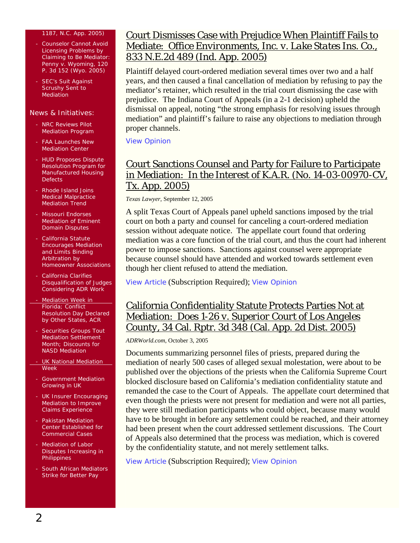#### 1187, N.C. App. 2005)

- Counselor Cannot Avoid Licensing Problems by Claiming to Be Mediator: *Penny v. Wyoming*, 120 P. 3d 152 (Wyo. 2005)
- SEC's Suit Against Scrushy Sent to **Mediation**

#### News & Initiatives:

- NRC Reviews Pilot Mediation Program
- **FAA Launches New** Mediation Center
- HUD Proposes Dispute Resolution Program for Manufactured Housing **Defects**
- Rhode Island Joins Medical Malpractice Mediation Trend
- Missouri Endorses Mediation of Eminent Domain Disputes
- California Statute Encourages Mediation and Limits Binding Arbitration by Homeowner Associations
- California Clarifies Disqualification of Judges Considering ADR Work
- **Mediation Week in** Florida; Conflict Resolution Day Declared by Other States, ACR
- Securities Groups Tout Mediation Settlement Month; Discounts for NASD Mediation
- UK National Mediation Week
- Government Mediation Growing in UK
- **UK Insurer Encouraging** Mediation to Improve Claims Experience
- Pakistan Mediation Center Established for Commercial Cases
- Mediation of Labor Disputes Increasing in **Philippines**
- South African Mediators Strike for Better Pay

#### Court Dismisses Case with Prejudice When Plaintiff Fails to Mediate: *Office Environments, Inc. v. Lake States Ins. Co.*, 833 N.E.2d 489 (Ind. App. 2005)

Plaintiff delayed court-ordered mediation several times over two and a half years, and then caused a final cancellation of mediation by refusing to pay the mediator's retainer, which resulted in the trial court dismissing the case with prejudice. The Indiana Court of Appeals (in a 2-1 decision) upheld the dismissal on appeal, noting "the strong emphasis for resolving issues through mediation" and plaintiff's failure to raise any objections to mediation through proper channels.

[View Opinion](http://www.in.gov/judiciary/opinions/pdf/08290501nhv.pdf)

#### Court Sanctions Counsel and Party for Failure to Participate in Mediation: *In the Interest of K.A.R.* (No. 14-03-00970-CV, Tx. App. 2005)

*Texas Lawyer*, September 12, 2005

A split Texas Court of Appeals panel upheld sanctions imposed by the trial court on both a party and counsel for canceling a court-ordered mediation session without adequate notice. The appellate court found that ordering mediation was a core function of the trial court, and thus the court had inherent power to impose sanctions. Sanctions against counsel were appropriate because counsel should have attended and worked towards settlement even though her client refused to attend the mediation.

[View Article](http://www.law.com/jsp/tx/PubArticleTX.jsp?id=1126170310593) (Subscription Required); View Opinion

#### California Confidentiality Statute Protects Parties Not at Mediation: *Does 1-26 v. Superior Court of Los Angeles County*, 34 Cal. Rptr. 3d 348 (Cal. App. 2d Dist. 2005)

*ADRWorld.com*, October 3, 2005

Documents summarizing personnel files of priests, prepared during the mediation of nearly 500 cases of alleged sexual molestation, were about to be published over the objections of the priests when the California Supreme Court blocked disclosure based on California's mediation confidentiality statute and remanded the case to the Court of Appeals. The appellate court determined that even though the priests were not present for mediation and were not all parties, they were still mediation participants who could object, because many would have to be brought in before any settlement could be reached, and their attorney had been present when the court addressed settlement discussions. The Court of Appeals also determined that the process was mediation, which is covered by the confidentiality statute, and not merely settlement talks.

[View Article](http://www.adrworld.com/sp.asp?id=38961) (Subscription Required); [View Opinion](http://www.courtinfo.ca.gov/opinions/documents/B179588.DOC)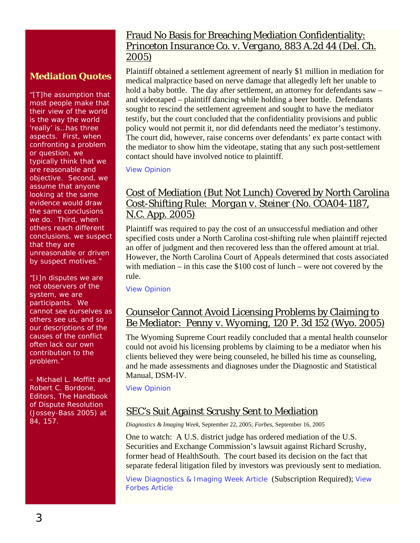#### **Mediation Quotes**

"[T]he assumption that most people make that their view of the world is the way the world 'really' is…has three aspects. First, when confronting a problem or question, we typically think that we are reasonable and objective. Second, we assume that anyone looking at the same evidence would draw the same conclusions we do. Third, when others reach different conclusions, we suspect that they are unreasonable or driven by suspect motives."

"[I]n disputes we are not observers of the system, we are participants. We cannot see ourselves as others see us, and so our descriptions of the causes of the conflict often lack our own contribution to the problem."

– Michael L. Moffitt and Robert C. Bordone, Editors, *The Handbook of Dispute Resolution* (Jossey-Bass 2005) at 84, 157.

#### Fraud No Basis for Breaching Mediation Confidentiality: *Princeton Insurance Co. v. Vergano*, 883 A.2d 44 (Del. Ch. 2005)

Plaintiff obtained a settlement agreement of nearly \$1 million in mediation for medical malpractice based on nerve damage that allegedly left her unable to hold a baby bottle. The day after settlement, an attorney for defendants saw – and videotaped – plaintiff dancing while holding a beer bottle. Defendants sought to rescind the settlement agreement and sought to have the mediator testify, but the court concluded that the confidentiality provisions and public policy would not permit it, nor did defendants need the mediator's testimony. The court did, however, raise concerns over defendants' ex parte contact with the mediator to show him the videotape, stating that any such post-settlement contact should have involved notice to plaintiff.

[View Opinion](http://courts.delaware.gov/Opinions/(fuz3o2zlxd22mzrclxfyy0fl)/download.aspx?ID=67190)

#### Cost of Mediation (But Not Lunch) Covered by North Carolina Cost-Shifting Rule: *Morgan v. Steiner* (No. COA04-1187, N.C. App. 2005)

Plaintiff was required to pay the cost of an unsuccessful mediation and other specified costs under a North Carolina cost-shifting rule when plaintiff rejected an offer of judgment and then recovered less than the offered amount at trial. However, the North Carolina Court of Appeals determined that costs associated with mediation – in this case the \$100 cost of lunch – were not covered by the rule.

[View Opinion](http://www.aoc.state.nc.us/www/public/coa/opinions/2005/041187-1.htm)

#### Counselor Cannot Avoid Licensing Problems by Claiming to Be Mediator: *Penny v. Wyoming*, 120 P. 3d 152 (Wyo. 2005)

The Wyoming Supreme Court readily concluded that a mental health counselor could not avoid his licensing problems by claiming to be a mediator when his clients believed they were being counseled, he billed his time as counseling, and he made assessments and diagnoses under the Diagnostic and Statistical Manual, DSM-IV.

[View Opinion](http://caselaw.lp.findlaw.com/data2/wyomingstatecases/2005/2005wy117.pdf)

#### SEC's Suit Against Scrushy Sent to Mediation

*Diagnostics & Imaging Week*, September 22, 2005; *Forbes*, September 16, 2005

One to watch: A U.S. district judge has ordered mediation of the U.S. Securities and Exchange Commission's lawsuit against Richard Scrushy, former head of HealthSouth. The court based its decision on the fact that separate federal litigation filed by investors was previously sent to mediation.

View *[Diagnostics & Imaging Week](http://web2.westlaw.com/find/default.wl?rs=WLW5.10&findjuris=00001&cite=2005+WLNR+15007205&fn=_top&utid=%7bD41B42FC-D646-483F-BCED-542DEB144289%7d&mt=LawSchoolPractitioner&vr=2.0&sv=Split&rp=%2ffind%2fdefault.wl)* Article (Subscription Required); [View](http://www.forbes.com/associatedpress/feeds/ap/2005/09/16/ap2229413.html)  *[Forbes](http://www.forbes.com/associatedpress/feeds/ap/2005/09/16/ap2229413.html)* Article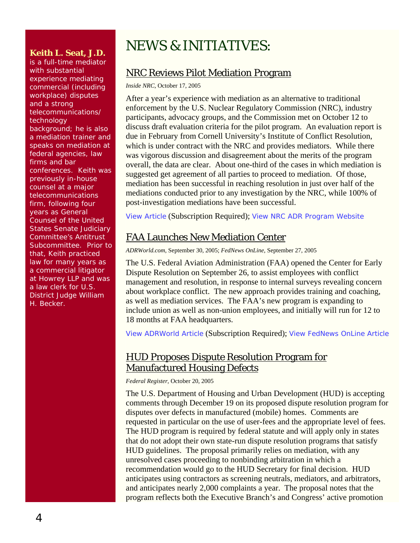#### **Keith L. Seat, J.D.**

is a full-time mediator with substantial experience mediating commercial (including workplace) disputes and a strong telecommunications/ technology background; he is also a mediation trainer and speaks on mediation at federal agencies, law firms and bar conferences. Keith was previously in-house counsel at a major telecommunications firm, following four years as General Counsel of the United States Senate Judiciary Committee's Antitrust Subcommittee. Prior to that, Keith practiced law for many years as a commercial litigator at Howrey LLP and was a law clerk for U.S. District Judge William H. Becker.

# NEWS & INITIATIVES:

#### NRC Reviews Pilot Mediation Program

*Inside NRC*, October 17, 2005

After a year's experience with mediation as an alternative to traditional enforcement by the U.S. Nuclear Regulatory Commission (NRC), industry participants, advocacy groups, and the Commission met on October 12 to discuss draft evaluation criteria for the pilot program. An evaluation report is due in February from Cornell University's Institute of Conflict Resolution, which is under contract with the NRC and provides mediators. While there was vigorous discussion and disagreement about the merits of the program overall, the data are clear. About one-third of the cases in which mediation is suggested get agreement of all parties to proceed to mediation. Of those, mediation has been successful in reaching resolution in just over half of the mediations conducted prior to any investigation by the NRC, while 100% of post-investigation mediations have been successful.

[View Article](http://web2.westlaw.com/find/default.wl?rs=WLW5.10&cite=2005+WLNR+17589167&fn=_top&utid=%7bD41B42FC-D646-483F-BCED-542DEB144289%7d&mt=LawSchoolPractitioner&vr=2.0&sv=Split&rp=%2ffind%2fdefault.wl) (Subscription Required); [View NRC ADR Program Website](http://www.nrc.gov/what-we-do/regulatory/enforcement/adr.html)

### FAA Launches New Mediation Center

*ADRWorld.com*, September 30, 2005; *FedNews OnLine*, September 27, 2005

The U.S. Federal Aviation Administration (FAA) opened the Center for Early Dispute Resolution on September 26, to assist employees with conflict management and resolution, in response to internal surveys revealing concern about workplace conflict. The new approach provides training and coaching, as well as mediation services. The FAA's new program is expanding to include union as well as non-union employees, and initially will run for 12 to 18 months at FAA headquarters.

View *[ADRWorld](http://www.adrworld.com/sp.asp?id=38956)* Article (Subscription Required); View *[FedNews OnLine](http://www.fednews-online.com/?publicationId=8427)* Article

#### HUD Proposes Dispute Resolution Program for Manufactured Housing Defects

*Federal Register*, October 20, 2005

The U.S. Department of Housing and Urban Development (HUD) is accepting comments through December 19 on its proposed dispute resolution program for disputes over defects in manufactured (mobile) homes. Comments are requested in particular on the use of user-fees and the appropriate level of fees. The HUD program is required by federal statute and will apply only in states that do not adopt their own state-run dispute resolution programs that satisfy HUD guidelines. The proposal primarily relies on mediation, with any unresolved cases proceeding to nonbinding arbitration in which a recommendation would go to the HUD Secretary for final decision. HUD anticipates using contractors as screening neutrals, mediators, and arbitrators, and anticipates nearly 2,000 complaints a year. The proposal notes that the program reflects both the Executive Branch's and Congress' active promotion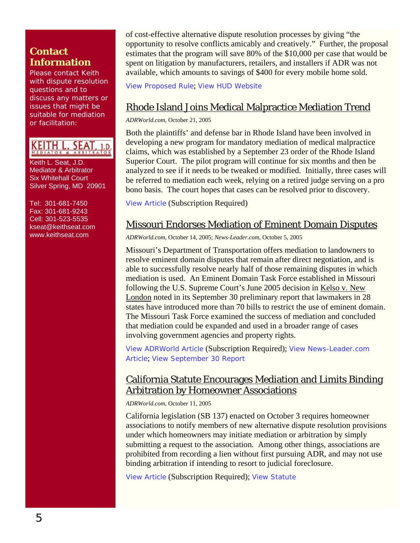#### **Contact Information**

Please contact Keith with dispute resolution questions and to discuss any matters or issues that might be suitable for mediation or facilitation:

KEITH L. SEAT, 1.D.

Keith L. Seat, J.D. Mediator & Arbitrator Six Whitehall Court Silver Spring, MD 20901

Tel: 301-681-7450 Fax: 301-681-9243 Cell: 301-523-5535 [kseat@keithseat.com](mailto:kseat@keithseat.com) [www.keithseat.com](http://www.keithseat.com/)

of cost-effective alternative dispute resolution processes by giving "the opportunity to resolve conflicts amicably and creatively." Further, the proposal estimates that the program will save 80% of the \$10,000 per case that would be spent on litigation by manufacturers, retailers, and installers if ADR was not available, which amounts to savings of \$400 for every mobile home sold.

[View Proposed Rule](http://www.hudclips.org/sub_nonhud/cgi/pdf/20953.pdf); [View HUD Website](http://www.hud.gov/offices/hsg/sfh/mhs/mhshome.cfm)

### Rhode Island Joins Medical Malpractice Mediation Trend

*ADRWorld.com*, October 21, 2005

Both the plaintiffs' and defense bar in Rhode Island have been involved in developing a new program for mandatory mediation of medical malpractice claims, which was established by a September 23 order of the Rhode Island Superior Court. The pilot program will continue for six months and then be analyzed to see if it needs to be tweaked or modified. Initially, three cases will be referred to mediation each week, relying on a retired judge serving on a pro bono basis. The court hopes that cases can be resolved prior to discovery.

[View Article](http://www.adrworld.com/sp.asp?id=39034) (Subscription Required)

#### Missouri Endorses Mediation of Eminent Domain Disputes

*ADRWorld.com*, October 14, 2005; *News-Leader.com*, October 5, 2005

Missouri's Department of Transportation offers mediation to landowners to resolve eminent domain disputes that remain after direct negotiation, and is able to successfully resolve nearly half of those remaining disputes in which mediation is used. An Eminent Domain Task Force established in Missouri following the U.S. Supreme Court's June 2005 decision in Kelso v. New London noted in its September 30 preliminary report that lawmakers in 28 states have introduced more than 70 bills to restrict the use of eminent domain. The Missouri Task Force examined the success of mediation and concluded that mediation could be expanded and used in a broader range of cases involving government agencies and property rights.

View *[ADRWorld](http://www.adrworld.com/sp.asp?id=39008)* Article (Subscription Required); View *[News-Leader.com](http://www.news-leader.com/apps/pbcs.dll/article?AID=/20051005/OPINIONS01/510050311/1067)* [Article](http://www.news-leader.com/apps/pbcs.dll/article?AID=/20051005/OPINIONS01/510050311/1067); [View September 30 Report](http://www.mo.gov/mo/eminentdomain/prelimrpt.pdf)

#### California Statute Encourages Mediation and Limits Binding Arbitration by Homeowner Associations

*ADRWorld.com*, October 11, 2005

California legislation (SB 137) enacted on October 3 requires homeowner associations to notify members of new alternative dispute resolution provisions under which homeowners may initiate mediation or arbitration by simply submitting a request to the association. Among other things, associations are prohibited from recording a lien without first pursuing ADR, and may not use binding arbitration if intending to resort to judicial foreclosure.

[View Article](http://www.adrworld.com/sp.asp?id=38990) (Subscription Required); [View Statute](http://www.leginfo.ca.gov/pub/bill/sen/sb_0101-0150/sb_137_bill_20051003_chaptered.html)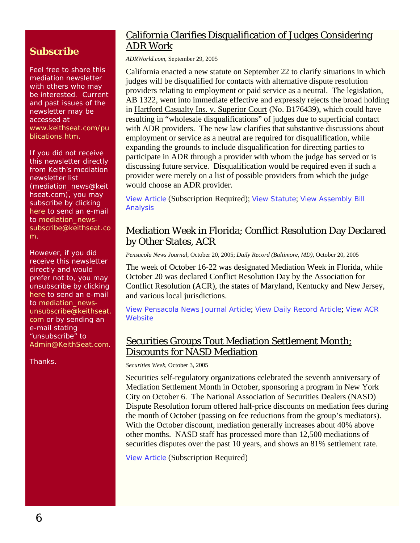### **Subscribe**

Feel free to share this mediation newsletter with others who may be interested. Current and past issues of the newsletter may be accessed at [www.keithseat.com/pu](http://www.keithseat.com/publications.htm) [blications.htm](http://www.keithseat.com/publications.htm).

If you did not receive this newsletter directly from Keith's mediation newsletter list (mediation\_news@keit hseat.com), you may subscribe by clicking [here](mailto:mediation_news-subscribe@keithseat.com) to send an e-mail to [mediation\\_news](mailto:mediation_news-subscribe@keithseat.com)[subscribe@keithseat.co](mailto:mediation_news-subscribe@keithseat.com) [m.](mailto:mediation_news-subscribe@keithseat.com)

However, if you did receive this newsletter directly and would prefer not to, you may unsubscribe by clicking [here](mailto:mediation_news-unsubscribe@keithseat.com) to send an e-mail to [mediation\\_news](mailto:mediation_news-unsubscribe@keithseat.com)[unsubscribe@keithseat.](mailto:mediation_news-unsubscribe@keithseat.com) [com](mailto:mediation_news-unsubscribe@keithseat.com) or by sending an e-mail stating unsubscribe" to [Admin@KeithSeat.com](mailto:Admin@KeithSeat.com).

Thanks.

### California Clarifies Disqualification of Judges Considering ADR Work

*ADRWorld.com*, September 29, 2005

California enacted a new statute on September 22 to clarify situations in which judges will be disqualified for contacts with alternative dispute resolution providers relating to employment or paid service as a neutral. The legislation, AB 1322, went into immediate effective and expressly rejects the broad holding in Hartford Casualty Ins. v. Superior Court (No. B176439), which could have resulting in "wholesale disqualifications" of judges due to superficial contact with ADR providers. The new law clarifies that substantive discussions about employment or service as a neutral are required for disqualification, while expanding the grounds to include disqualification for directing parties to participate in ADR through a provider with whom the judge has served or is discussing future service. Disqualification would be required even if such a provider were merely on a list of possible providers from which the judge would choose an ADR provider.

[View Article](http://www.adrworld.com/sp.asp?id=38951) (Subscription Required); [View Statute](http://www.leginfo.ca.gov/pub/bill/asm/ab_1301-1350/ab_1322_bill_20050922_chaptered.html); [View Assembly Bill](http://info.sen.ca.gov/pub/bill/asm/ab_1301-1350/ab_1322_cfa_20050404_103652_asm_comm.html)  [Analysis](http://info.sen.ca.gov/pub/bill/asm/ab_1301-1350/ab_1322_cfa_20050404_103652_asm_comm.html)

#### Mediation Week in Florida; Conflict Resolution Day Declared by Other States, ACR

*Pensacola News Journal*, October 20, 2005; *Daily Record (Baltimore, MD)*, October 20, 2005

The week of October 16-22 was designated Mediation Week in Florida, while October 20 was declared Conflict Resolution Day by the Association for Conflict Resolution (ACR), the states of Maryland, Kentucky and New Jersey, and various local jurisdictions.

View *[Pensacola News Journal](http://www.pensacolanewsjournal.com/apps/pbcs.dll/article?AID=/20051020/OPINION/510200307/1020)* Article; View *[Daily Record](http://www.mddailyrecord.com/pub/5_397_thursday/legalnews/172855-1.html)* Article; [View ACR](http://www.acrnet.org/)  **[Website](http://www.acrnet.org/)** 

#### Securities Groups Tout Mediation Settlement Month; Discounts for NASD Mediation

*Securities Week*, October 3, 2005

Securities self-regulatory organizations celebrated the seventh anniversary of Mediation Settlement Month in October, sponsoring a program in New York City on October 6. The National Association of Securities Dealers (NASD) Dispute Resolution forum offered half-price discounts on mediation fees during the month of October (passing on fee reductions from the group's mediators). With the October discount, mediation generally increases about 40% above other months. NASD staff has processed more than 12,500 mediations of securities disputes over the past 10 years, and shows an 81% settlement rate.

[View Article](http://web2.westlaw.com/find/default.wl?rs=WLW5.10&cite=2005+WLNR+17590184&fn=_top&utid=%7bD41B42FC-D646-483F-BCED-542DEB144289%7d&mt=LawSchoolPractitioner&vr=2.0&sv=Split&rp=%2ffind%2fdefault.wl) (Subscription Required)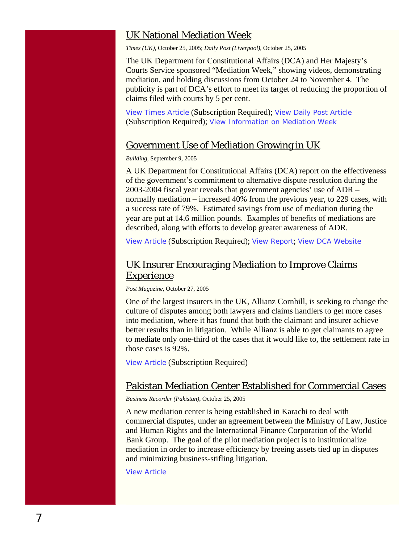#### UK National Mediation Week

*Times (UK)*, October 25, 2005; *Daily Post (Liverpool)*, October 25, 2005

The UK Department for Constitutional Affairs (DCA) and Her Majesty's Courts Service sponsored "Mediation Week," showing videos, demonstrating mediation, and holding discussions from October 24 to November 4. The publicity is part of DCA's effort to meet its target of reducing the proportion of claims filed with courts by 5 per cent.

View *[Times](http://web2.westlaw.com/find/default.wl?rs=WLW5.10&findjuris=00001&cite=2005+WLNR+17229669&fn=_top&utid=%7bD41B42FC-D646-483F-BCED-542DEB144289%7d&mt=LawSchoolPractitioner&vr=2.0&sv=Split&rp=%2ffind%2fdefault.wl)* Article (Subscription Required); View *[Daily Post](http://web2.westlaw.com/find/default.wl?rs=WLW5.10&cite=2005+WLNR+17233199&fn=_top&utid=%7bD41B42FC-D646-483F-BCED-542DEB144289%7d&mt=LawSchoolPractitioner&vr=2.0&sv=Split&rp=%2ffind%2fdefault.wl)* Article (Subscription Required); [View Information on Mediation Week](http://www.hmcourts-service.gov.uk/news/mediation_week/index.htm)

#### Government Use of Mediation Growing in UK

*Building*, September 9, 2005

A UK Department for Constitutional Affairs (DCA) report on the effectiveness of the government's commitment to alternative dispute resolution during the 2003-2004 fiscal year reveals that government agencies' use of ADR – normally mediation – increased 40% from the previous year, to 229 cases, with a success rate of 79%. Estimated savings from use of mediation during the year are put at 14.6 million pounds. Examples of benefits of mediations are described, along with efforts to develop greater awareness of ADR.

[View Article](http://web2.westlaw.com/find/default.wl?rs=WLW5.10&cite=2005+WLNR+14379543&fn=_top&utid=%7bD41B42FC-D646-483F-BCED-542DEB144289%7d&mt=LawSchoolPractitioner&vr=2.0&sv=Split&rp=%2ffind%2fdefault.wl) (Subscription Required); [View Report](http://www.dca.gov.uk/civil/adr/adrmon05.pdf); [View DCA Website](http://www.dca.gov.uk/civil/adr/)

### UK Insurer Encouraging Mediation to Improve Claims **Experience**

*Post Magazine,* October 27, 2005

One of the largest insurers in the UK, Allianz Cornhill, is seeking to change the culture of disputes among both lawyers and claims handlers to get more cases into mediation, where it has found that both the claimant and insurer achieve better results than in litigation. While Allianz is able to get claimants to agree to mediate only one-third of the cases that it would like to, the settlement rate in those cases is 92%.

[View Article](http://www.postmag.co.uk/public/showPage.html?validate=0&page=post_login2&url=%2Fpublic%2FshowPage.html%3Fpage%3D302348) (Subscription Required)

#### Pakistan Mediation Center Established for Commercial Cases

*Business Recorder (Pakistan)*, October 25, 2005

A new mediation center is being established in Karachi to deal with commercial disputes, under an agreement between the Ministry of Law, Justice and Human Rights and the International Finance Corporation of the World Bank Group. The goal of the pilot mediation project is to institutionalize mediation in order to increase efficiency by freeing assets tied up in disputes and minimizing business-stifling litigation.

[View Article](http://www.brecorder.com/index.php?id=345071&currPageNo=6&query=&search=&term=&supDate=)